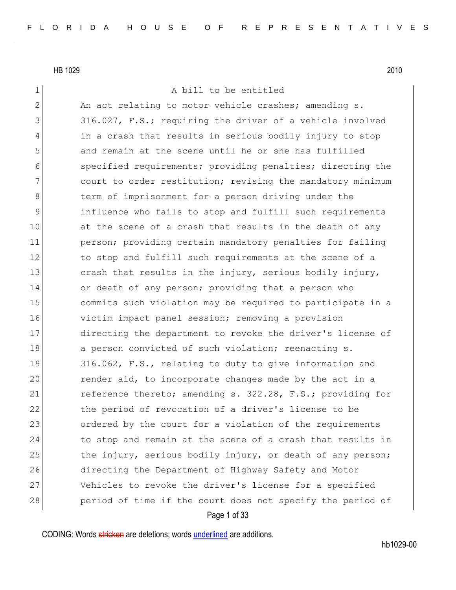1 a bill to be entitled

Page 1 of 33 2 An act relating to motor vehicle crashes; amending s. 3 316.027, F.S.; requiring the driver of a vehicle involved 4 in a crash that results in serious bodily injury to stop 5 and remain at the scene until he or she has fulfilled 6 specified requirements; providing penalties; directing the 7 court to order restitution; revising the mandatory minimum 8 b 8 term of imprisonment for a person driving under the 9 influence who fails to stop and fulfill such requirements 10 at the scene of a crash that results in the death of any 11 person; providing certain mandatory penalties for failing 12 to stop and fulfill such requirements at the scene of a 13 crash that results in the injury, serious bodily injury, 14 or death of any person; providing that a person who 15 15 commits such violation may be required to participate in a 16 victim impact panel session; removing a provision 17 directing the department to revoke the driver's license of 18 a person convicted of such violation; reenacting s. 19 316.062, F.S., relating to duty to give information and 20 render aid, to incorporate changes made by the act in a 21 reference thereto; amending s. 322.28, F.S.; providing for 22 the period of revocation of a driver's license to be 23 ordered by the court for a violation of the requirements 24 to stop and remain at the scene of a crash that results in 25 the injury, serious bodily injury, or death of any person; 26 directing the Department of Highway Safety and Motor 27 Vehicles to revoke the driver's license for a specified 28 period of time if the court does not specify the period of

CODING: Words stricken are deletions; words underlined are additions.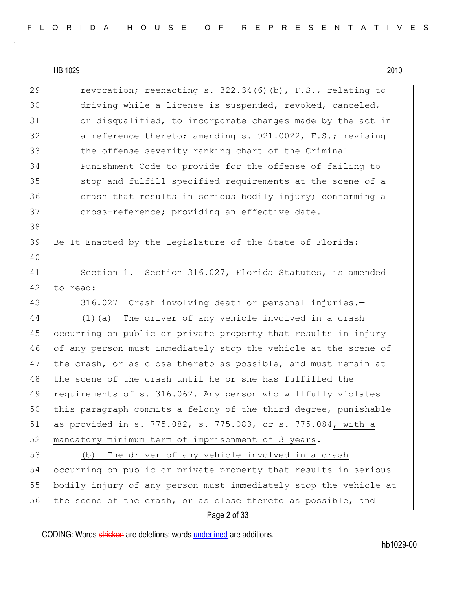| 29 | revocation; reenacting s. $322.34(6)(b)$ , F.S., relating to     |
|----|------------------------------------------------------------------|
| 30 | driving while a license is suspended, revoked, canceled,         |
| 31 | or disqualified, to incorporate changes made by the act in       |
| 32 | a reference thereto; amending s. 921.0022, F.S.; revising        |
| 33 | the offense severity ranking chart of the Criminal               |
| 34 | Punishment Code to provide for the offense of failing to         |
| 35 | stop and fulfill specified requirements at the scene of a        |
| 36 | crash that results in serious bodily injury; conforming a        |
| 37 | cross-reference; providing an effective date.                    |
| 38 |                                                                  |
| 39 | Be It Enacted by the Legislature of the State of Florida:        |
| 40 |                                                                  |
| 41 | Section 1. Section 316.027, Florida Statutes, is amended         |
| 42 | to read:                                                         |
| 43 | 316.027 Crash involving death or personal injuries.-             |
| 44 | The driver of any vehicle involved in a crash<br>$(1)$ (a)       |
| 45 | occurring on public or private property that results in injury   |
| 46 | of any person must immediately stop the vehicle at the scene of  |
| 47 | the crash, or as close thereto as possible, and must remain at   |
| 48 | the scene of the crash until he or she has fulfilled the         |
| 49 | requirements of s. 316.062. Any person who willfully violates    |
| 50 | this paragraph commits a felony of the third degree, punishable  |
| 51 | as provided in s. 775.082, s. 775.083, or s. 775.084, with a     |
| 52 | mandatory minimum term of imprisonment of 3 years.               |
| 53 | The driver of any vehicle involved in a crash<br>(b)             |
| 54 | occurring on public or private property that results in serious  |
| 55 | bodily injury of any person must immediately stop the vehicle at |
| 56 | the scene of the crash, or as close thereto as possible, and     |

Page 2 of 33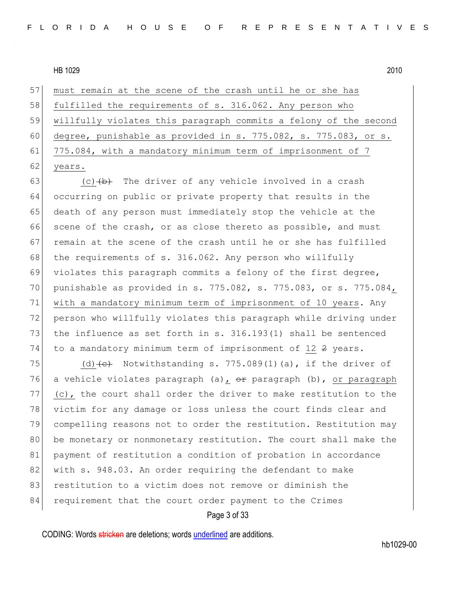57 must remain at the scene of the crash until he or she has 58 fulfilled the requirements of s. 316.062. Any person who 59 willfully violates this paragraph commits a felony of the second 60 degree, punishable as provided in s. 775.082, s. 775.083, or s. 61 775.084, with a mandatory minimum term of imprisonment of 7 62 years.

63 (c) $\left(\frac{b}{b}\right)$  The driver of any vehicle involved in a crash 64 occurring on public or private property that results in the 65 death of any person must immediately stop the vehicle at the 66 scene of the crash, or as close thereto as possible, and must 67 remain at the scene of the crash until he or she has fulfilled 68 the requirements of s. 316.062. Any person who willfully 69 violates this paragraph commits a felony of the first degree, 70 punishable as provided in s. 775.082, s. 775.083, or s. 775.084, 71 with a mandatory minimum term of imprisonment of 10 years. Any 72 person who willfully violates this paragraph while driving under 73 the influence as set forth in s.  $316.193(1)$  shall be sentenced 74 to a mandatory minimum term of imprisonment of 12 2 years.

75 (d)  $\left($ e) Notwithstanding s. 775.089(1)(a), if the driver of 76 a vehicle violates paragraph (a),  $\theta$ r paragraph (b), or paragraph  $77$  (c), the court shall order the driver to make restitution to the 78 victim for any damage or loss unless the court finds clear and 79 compelling reasons not to order the restitution. Restitution may 80 be monetary or nonmonetary restitution. The court shall make the 81 payment of restitution a condition of probation in accordance 82 with s. 948.03. An order requiring the defendant to make 83 restitution to a victim does not remove or diminish the 84 requirement that the court order payment to the Crimes

Page 3 of 33

CODING: Words stricken are deletions; words underlined are additions.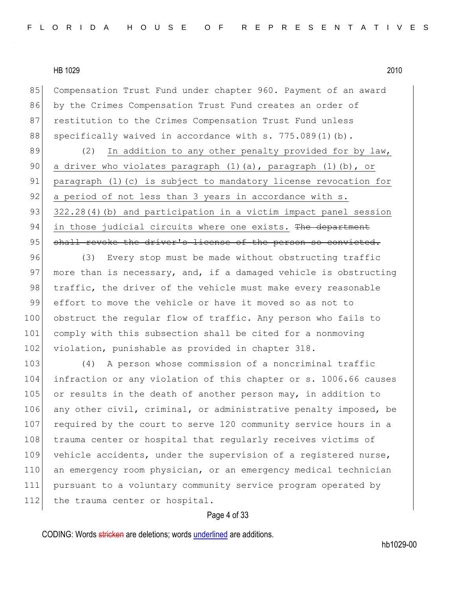85 Compensation Trust Fund under chapter 960. Payment of an award 86 by the Crimes Compensation Trust Fund creates an order of 87 restitution to the Crimes Compensation Trust Fund unless 88 specifically waived in accordance with s. 775.089(1)(b).

89 (2) In addition to any other penalty provided for by law, 90 a driver who violates paragraph (1)(a), paragraph (1)(b), or 91 paragraph (1)(c) is subject to mandatory license revocation for 92 a period of not less than 3 years in accordance with s. 93 322.28(4)(b) and participation in a victim impact panel session 94 in those judicial circuits where one exists. The department 95 shall revoke the driver's license of the person so convicted.

96 (3) Every stop must be made without obstructing traffic 97 more than is necessary, and, if a damaged vehicle is obstructing 98 traffic, the driver of the vehicle must make every reasonable 99 effort to move the vehicle or have it moved so as not to 100 obstruct the regular flow of traffic. Any person who fails to 101 comply with this subsection shall be cited for a nonmoving 102 violation, punishable as provided in chapter 318.

103 (4) A person whose commission of a noncriminal traffic 104 infraction or any violation of this chapter or s. 1006.66 causes 105 or results in the death of another person may, in addition to 106 any other civil, criminal, or administrative penalty imposed, be 107 required by the court to serve 120 community service hours in a 108 trauma center or hospital that regularly receives victims of 109 vehicle accidents, under the supervision of a registered nurse, 110 an emergency room physician, or an emergency medical technician 111 pursuant to a voluntary community service program operated by 112 the trauma center or hospital.

## Page 4 of 33

CODING: Words stricken are deletions; words underlined are additions.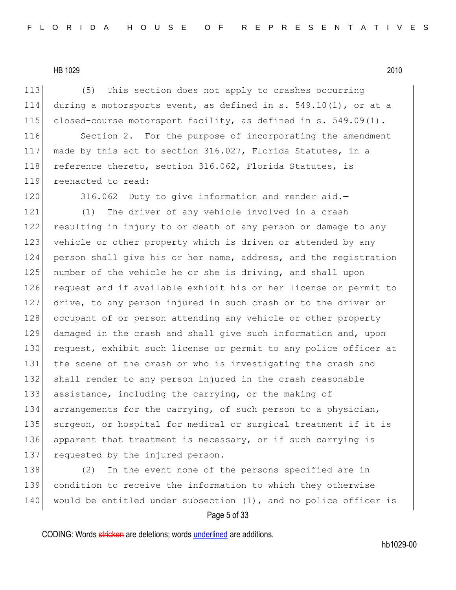113 (5) This section does not apply to crashes occurring 114 during a motorsports event, as defined in s.  $549.10(1)$ , or at a 115 closed-course motorsport facility, as defined in s. 549.09(1).

116 Section 2. For the purpose of incorporating the amendment 117 made by this act to section 316.027, Florida Statutes, in a 118 reference thereto, section 316.062, Florida Statutes, is 119 reenacted to read:

120 316.062 Duty to give information and render aid.-

121 (1) The driver of any vehicle involved in a crash 122 resulting in injury to or death of any person or damage to any 123 vehicle or other property which is driven or attended by any 124 person shall give his or her name, address, and the registration 125 | number of the vehicle he or she is driving, and shall upon 126 request and if available exhibit his or her license or permit to 127 drive, to any person injured in such crash or to the driver or 128 occupant of or person attending any vehicle or other property 129 damaged in the crash and shall give such information and, upon 130 request, exhibit such license or permit to any police officer at 131 the scene of the crash or who is investigating the crash and 132 shall render to any person injured in the crash reasonable 133 assistance, including the carrying, or the making of 134 arrangements for the carrying, of such person to a physician, 135 surgeon, or hospital for medical or surgical treatment if it is 136 apparent that treatment is necessary, or if such carrying is 137 requested by the injured person.

138 (2) In the event none of the persons specified are in 139 condition to receive the information to which they otherwise 140 would be entitled under subsection  $(1)$ , and no police officer is

## Page 5 of 33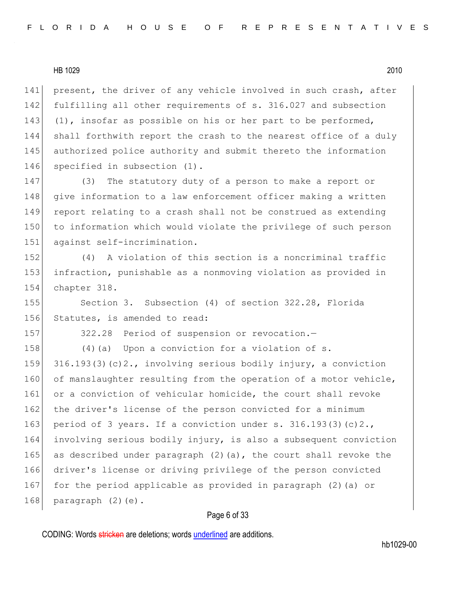141 present, the driver of any vehicle involved in such crash, after 142 fulfilling all other requirements of s. 316.027 and subsection 143 (1), insofar as possible on his or her part to be performed, 144 shall forthwith report the crash to the nearest office of a duly 145 authorized police authority and submit thereto the information 146 specified in subsection (1).

147 (3) The statutory duty of a person to make a report or 148 give information to a law enforcement officer making a written 149 report relating to a crash shall not be construed as extending 150 to information which would violate the privilege of such person 151 against self-incrimination.

152 (4) A violation of this section is a noncriminal traffic 153 infraction, punishable as a nonmoving violation as provided in 154 chapter 318.

155 Section 3. Subsection (4) of section 322.28, Florida 156 Statutes, is amended to read:

157 322.28 Period of suspension or revocation.

158  $(4)$  (a) Upon a conviction for a violation of s. 159 316.193(3)(c)2., involving serious bodily injury, a conviction 160 of manslaughter resulting from the operation of a motor vehicle, 161 or a conviction of vehicular homicide, the court shall revoke 162 the driver's license of the person convicted for a minimum 163 period of 3 years. If a conviction under s.  $316.193(3)(c)2.,$ 164 involving serious bodily injury, is also a subsequent conviction 165 as described under paragraph  $(2)$  (a), the court shall revoke the 166 driver's license or driving privilege of the person convicted 167 for the period applicable as provided in paragraph (2) (a) or 168 paragraph  $(2)(e)$ .

#### Page 6 of 33

CODING: Words stricken are deletions; words underlined are additions.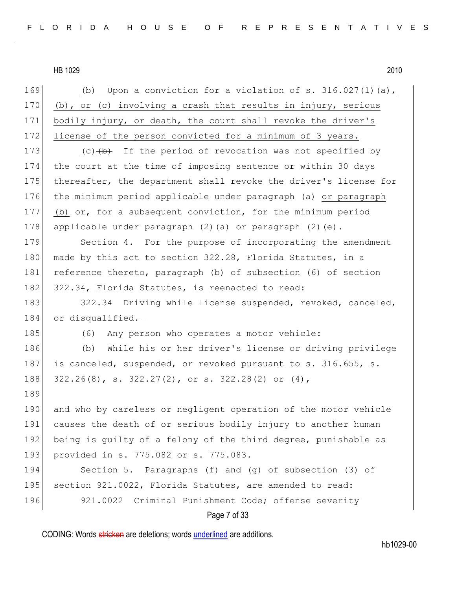Page 7 of 33 169 (b) Upon a conviction for a violation of s. 316.027(1)(a), 170 (b), or (c) involving a crash that results in injury, serious 171 bodily injury, or death, the court shall revoke the driver's 172 license of the person convicted for a minimum of 3 years. 173  $(c)$   $(b)$  If the period of revocation was not specified by 174 the court at the time of imposing sentence or within 30 days 175 thereafter, the department shall revoke the driver's license for 176 the minimum period applicable under paragraph (a) or paragraph 177 (b) or, for a subsequent conviction, for the minimum period 178 applicable under paragraph (2)(a) or paragraph (2)(e). 179 Section 4. For the purpose of incorporating the amendment 180 made by this act to section 322.28, Florida Statutes, in a 181 reference thereto, paragraph (b) of subsection (6) of section 182 322.34, Florida Statutes, is reenacted to read: 183 322.34 Driving while license suspended, revoked, canceled, 184 or disqualified.-185 (6) Any person who operates a motor vehicle: 186 (b) While his or her driver's license or driving privilege 187 is canceled, suspended, or revoked pursuant to s. 316.655, s. 188 322.26(8), s. 322.27(2), or s. 322.28(2) or (4), 189 190 and who by careless or negligent operation of the motor vehicle 191 causes the death of or serious bodily injury to another human 192 being is guilty of a felony of the third degree, punishable as 193 provided in s. 775.082 or s. 775.083. 194 Section 5. Paragraphs (f) and (g) of subsection (3) of 195 section 921.0022, Florida Statutes, are amended to read: 196 921.0022 Criminal Punishment Code; offense severity

CODING: Words stricken are deletions; words underlined are additions.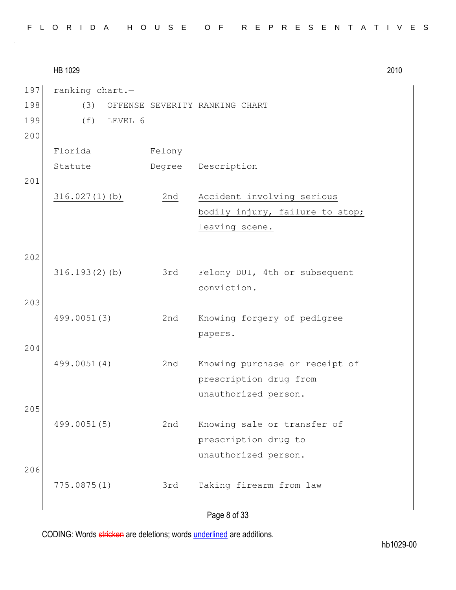|  |  |  |  |  |  | FLORIDA HOUSE OF REPRESENTATIVES |  |  |  |  |  |  |  |  |
|--|--|--|--|--|--|----------------------------------|--|--|--|--|--|--|--|--|
|  |  |  |  |  |  |                                  |  |  |  |  |  |  |  |  |

HB 1029 2010 Page 8 of 33 197 ranking chart.-198 (3) OFFENSE SEVERITY RANKING CHART 199 (f) LEVEL 6 200 Florida Statute Felony Degree Description 201 316.027(1)(b) 2nd Accident involving serious bodily injury, failure to stop; leaving scene. 202 316.193(2)(b) 3rd Felony DUI, 4th or subsequent conviction. 203 499.0051(3) 2nd Knowing forgery of pedigree papers. 204 499.0051(4) 2nd Knowing purchase or receipt of prescription drug from unauthorized person. 205 499.0051(5) 2nd Knowing sale or transfer of prescription drug to unauthorized person. 206 775.0875(1) 3rd Taking firearm from law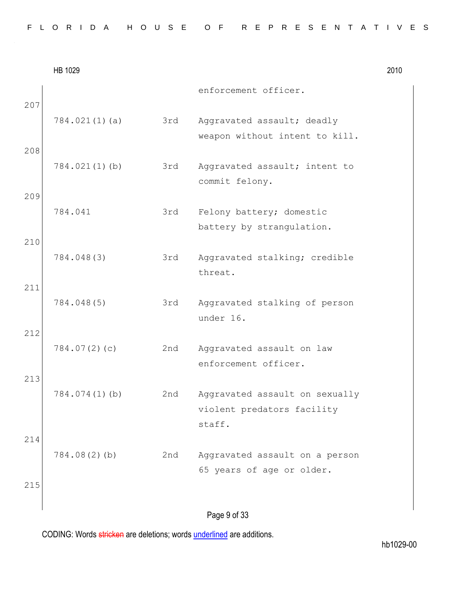|  |  |  |  |  |  | FLORIDA HOUSE OF REPRESENTATIVES |  |  |  |  |  |  |  |  |
|--|--|--|--|--|--|----------------------------------|--|--|--|--|--|--|--|--|
|  |  |  |  |  |  |                                  |  |  |  |  |  |  |  |  |

|            | HB 1029       |     |                                                                        | 2010 |
|------------|---------------|-----|------------------------------------------------------------------------|------|
|            |               |     | enforcement officer.                                                   |      |
| 207        | 784.021(1)(a) | 3rd | Aggravated assault; deadly<br>weapon without intent to kill.           |      |
| 208        | 784.021(1)(b) | 3rd | Aggravated assault; intent to<br>commit felony.                        |      |
| 209        | 784.041       | 3rd | Felony battery; domestic<br>battery by strangulation.                  |      |
| 210        | 784.048(3)    | 3rd | Aggravated stalking; credible<br>threat.                               |      |
| 211        | 784.048(5)    | 3rd | Aggravated stalking of person<br>under 16.                             |      |
| 212        | 784.07(2)(c)  | 2nd | Aggravated assault on law<br>enforcement officer.                      |      |
| 213        | 784.074(1)(b) | 2nd | Aggravated assault on sexually<br>violent predators facility<br>staff. |      |
| 214<br>215 | 784.08(2)(b)  | 2nd | Aggravated assault on a person<br>65 years of age or older.            |      |
|            |               |     | Page 9 of 33                                                           |      |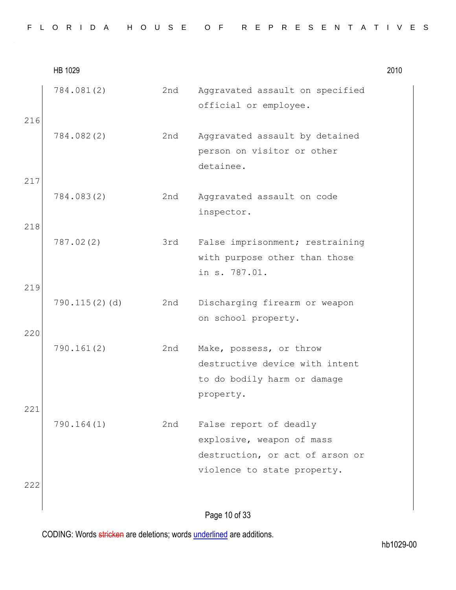|     | HB 1029       |     |                                                                                                                       | 2010 |
|-----|---------------|-----|-----------------------------------------------------------------------------------------------------------------------|------|
| 216 | 784.081(2)    | 2nd | Aggravated assault on specified<br>official or employee.                                                              |      |
|     | 784.082(2)    | 2nd | Aggravated assault by detained<br>person on visitor or other<br>detainee.                                             |      |
| 217 | 784.083(2)    | 2nd | Aggravated assault on code<br>inspector.                                                                              |      |
| 218 | 787.02(2)     | 3rd | False imprisonment; restraining<br>with purpose other than those<br>in s. 787.01.                                     |      |
| 219 | 790.115(2)(d) | 2nd | Discharging firearm or weapon<br>on school property.                                                                  |      |
| 220 | 790.161(2)    | 2nd | Make, possess, or throw<br>destructive device with intent<br>to do bodily harm or damage<br>property.                 |      |
| 221 | 790.164(1)    | 2nd | False report of deadly<br>explosive, weapon of mass<br>destruction, or act of arson or<br>violence to state property. |      |
| 222 |               |     | Page 10 of 33                                                                                                         |      |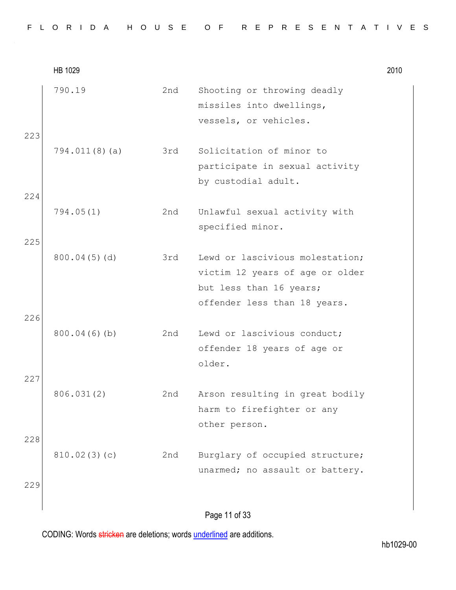|     | HB 1029       |     |                                                                                                                               | 2010 |
|-----|---------------|-----|-------------------------------------------------------------------------------------------------------------------------------|------|
| 223 | 790.19        | 2nd | Shooting or throwing deadly<br>missiles into dwellings,<br>vessels, or vehicles.                                              |      |
| 224 | 794.011(8)(a) | 3rd | Solicitation of minor to<br>participate in sexual activity<br>by custodial adult.                                             |      |
| 225 | 794.05(1)     | 2nd | Unlawful sexual activity with<br>specified minor.                                                                             |      |
| 226 | 800.04(5)(d)  | 3rd | Lewd or lascivious molestation;<br>victim 12 years of age or older<br>but less than 16 years;<br>offender less than 18 years. |      |
| 227 | 800.04(6)(b)  | 2nd | Lewd or lascivious conduct;<br>offender 18 years of age or<br>older.                                                          |      |
| 228 | 806.031(2)    | 2nd | Arson resulting in great bodily<br>harm to firefighter or any<br>other person.                                                |      |
| 229 | 810.02(3)(c)  | 2nd | Burglary of occupied structure;<br>unarmed; no assault or battery.                                                            |      |
|     |               |     | Page 11 of 33                                                                                                                 |      |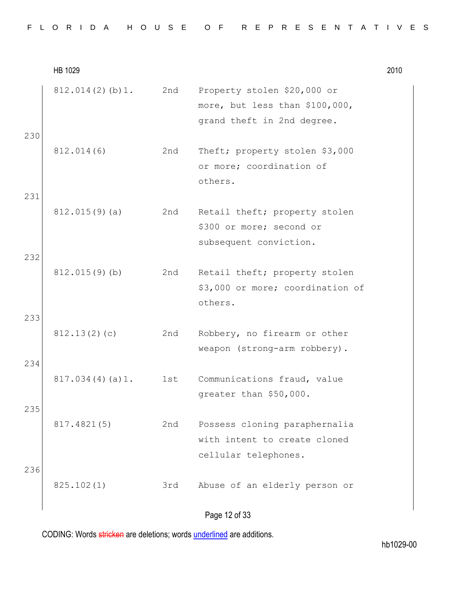|  |  |  | FLORIDA HOUSE OF REPRESENTATIVES |  |  |  |  |  |  |  |  |  |  |  |  |
|--|--|--|----------------------------------|--|--|--|--|--|--|--|--|--|--|--|--|
|  |  |  |                                  |  |  |  |  |  |  |  |  |  |  |  |  |

HB 1029 2010 812.014(2)(b)1. 2nd Property stolen \$20,000 or more, but less than \$100,000, grand theft in 2nd degree. 230 812.014(6) 2nd Theft; property stolen \$3,000 or more; coordination of others. 231 812.015(9)(a) 2nd Retail theft; property stolen \$300 or more; second or subsequent conviction. 232 812.015(9)(b) 2nd Retail theft; property stolen \$3,000 or more; coordination of others. 233 812.13(2)(c) 2nd Robbery, no firearm or other weapon (strong-arm robbery). 234 817.034(4)(a)1. 1st Communications fraud, value greater than \$50,000. 235 817.4821(5) 2nd Possess cloning paraphernalia with intent to create cloned cellular telephones. 236 825.102(1) 3rd Abuse of an elderly person or

# Page 12 of 33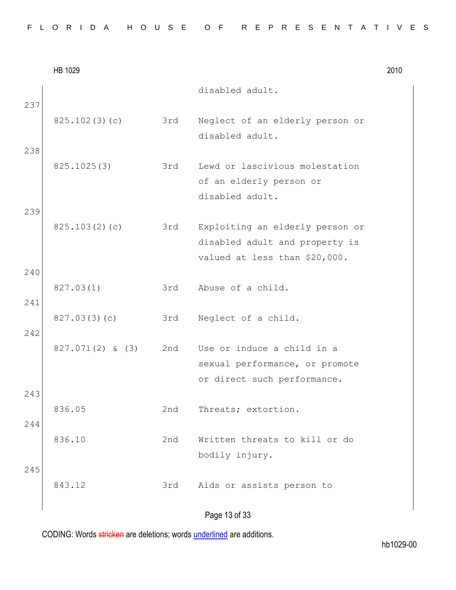|  |  |  |  |  |  | FLORIDA HOUSE OF REPRESENTATIVES |  |  |  |  |  |  |  |  |
|--|--|--|--|--|--|----------------------------------|--|--|--|--|--|--|--|--|
|  |  |  |  |  |  |                                  |  |  |  |  |  |  |  |  |

|            | HB 1029            |     |                                                                                                    | 2010 |
|------------|--------------------|-----|----------------------------------------------------------------------------------------------------|------|
|            |                    |     | disabled adult.                                                                                    |      |
| 237        | 825.102(3)(c)      | 3rd | Neglect of an elderly person or<br>disabled adult.                                                 |      |
| 238        | 825.1025(3)        | 3rd | Lewd or lascivious molestation<br>of an elderly person or<br>disabled adult.                       |      |
| 239        | 825.103(2)(c)      | 3rd | Exploiting an elderly person or<br>disabled adult and property is<br>valued at less than \$20,000. |      |
| 240<br>241 | 827.03(1)          | 3rd | Abuse of a child.                                                                                  |      |
| 242        | 827.03(3)(c)       | 3rd | Neglect of a child.                                                                                |      |
| 243        | $827.071(2)$ & (3) | 2nd | Use or induce a child in a<br>sexual performance, or promote<br>or direct such performance.        |      |
| 244        | 836.05             | 2nd | Threats; extortion.                                                                                |      |
|            | 836.10             | 2nd | Written threats to kill or do<br>bodily injury.                                                    |      |
| 245        | 843.12             | 3rd | Aids or assists person to                                                                          |      |
|            |                    |     | Dogo 12 of 22                                                                                      |      |

Page 13 of 33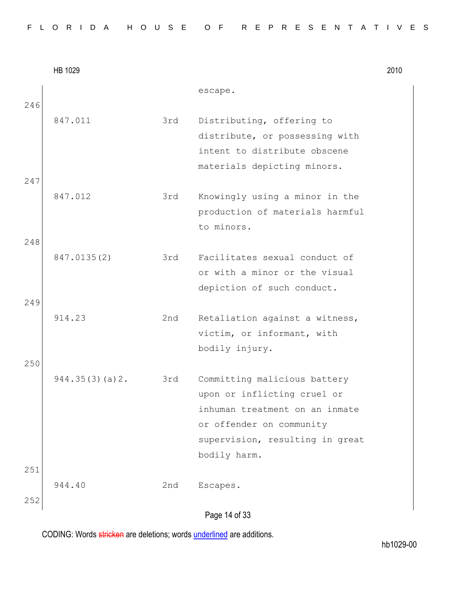|            | HB 1029        |     |                                                                                                                                                                              | 2010 |
|------------|----------------|-----|------------------------------------------------------------------------------------------------------------------------------------------------------------------------------|------|
| 246        |                |     | escape.                                                                                                                                                                      |      |
|            | 847.011        | 3rd | Distributing, offering to<br>distribute, or possessing with<br>intent to distribute obscene<br>materials depicting minors.                                                   |      |
| 247<br>248 | 847.012        | 3rd | Knowingly using a minor in the<br>production of materials harmful<br>to minors.                                                                                              |      |
|            | 847.0135(2)    | 3rd | Facilitates sexual conduct of<br>or with a minor or the visual<br>depiction of such conduct.                                                                                 |      |
| 249        | 914.23         | 2nd | Retaliation against a witness,<br>victim, or informant, with<br>bodily injury.                                                                                               |      |
| 250        | 944.35(3)(a)2. | 3rd | Committing malicious battery<br>upon or inflicting cruel or<br>inhuman treatment on an inmate<br>or offender on community<br>supervision, resulting in great<br>bodily harm. |      |
| 251<br>252 | 944.40         | 2nd | Escapes.<br>r on                                                                                                                                                             |      |

Page 14 of 33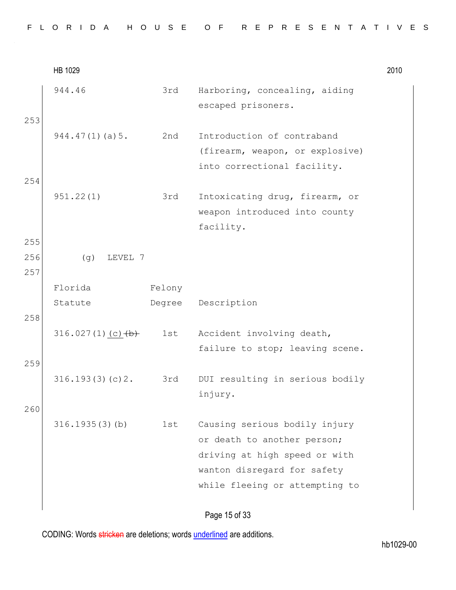|            | HB 1029             |        |                                                                                                                                                                | 2010 |
|------------|---------------------|--------|----------------------------------------------------------------------------------------------------------------------------------------------------------------|------|
| 253        | 944.46              | 3rd    | Harboring, concealing, aiding<br>escaped prisoners.                                                                                                            |      |
|            | 944.47(1)(a)5.      | 2nd    | Introduction of contraband<br>(firearm, weapon, or explosive)<br>into correctional facility.                                                                   |      |
| 254<br>255 | 951.22(1)           | 3rd    | Intoxicating drug, firearm, or<br>weapon introduced into county<br>facility.                                                                                   |      |
| 256<br>257 | (g)<br>LEVEL 7      |        |                                                                                                                                                                |      |
|            | Florida             | Felony |                                                                                                                                                                |      |
| 258        | Statute             | Degree | Description                                                                                                                                                    |      |
|            | $316.027(1)(c)$ +b+ | 1st    | Accident involving death,<br>failure to stop; leaving scene.                                                                                                   |      |
| 259        | 316.193(3)(c)2.     | 3rd    | DUI resulting in serious bodily<br>injury.                                                                                                                     |      |
| 260        | 316.1935(3)(b)      | 1st    | Causing serious bodily injury<br>or death to another person;<br>driving at high speed or with<br>wanton disregard for safety<br>while fleeing or attempting to |      |
|            |                     |        | Dogo $15$ of 22                                                                                                                                                |      |

Page 15 of 33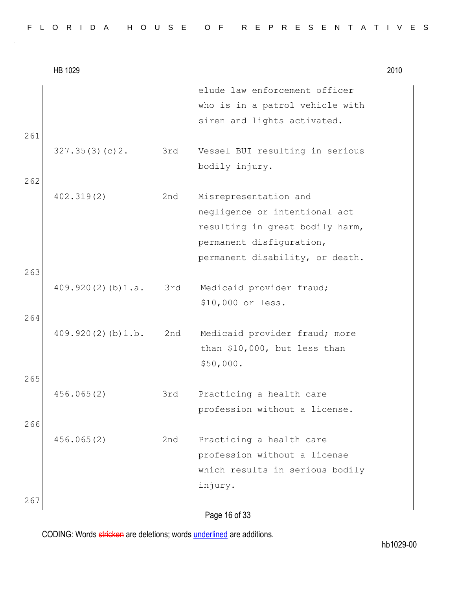|     | HB 1029                 |     |                                                                                                                                                          | 2010 |
|-----|-------------------------|-----|----------------------------------------------------------------------------------------------------------------------------------------------------------|------|
| 261 |                         |     | elude law enforcement officer<br>who is in a patrol vehicle with<br>siren and lights activated.                                                          |      |
|     | 327.35(3)(c)2.          | 3rd | Vessel BUI resulting in serious<br>bodily injury.                                                                                                        |      |
| 262 | 402.319(2)              | 2nd | Misrepresentation and<br>negligence or intentional act<br>resulting in great bodily harm,<br>permanent disfiguration,<br>permanent disability, or death. |      |
| 263 | 409.920(2)(b)1.a.       | 3rd | Medicaid provider fraud;<br>\$10,000 or less.                                                                                                            |      |
| 264 | $409.920(2)$ (b) $1.b.$ | 2nd | Medicaid provider fraud; more<br>than \$10,000, but less than<br>\$50,000.                                                                               |      |
| 265 | 456.065(2)              | 3rd | Practicing a health care                                                                                                                                 |      |
| 266 |                         |     | profession without a license.                                                                                                                            |      |
| 267 | 456.065(2)              | 2nd | Practicing a health care<br>profession without a license<br>which results in serious bodily<br>injury.                                                   |      |
|     |                         |     |                                                                                                                                                          |      |

Page 16 of 33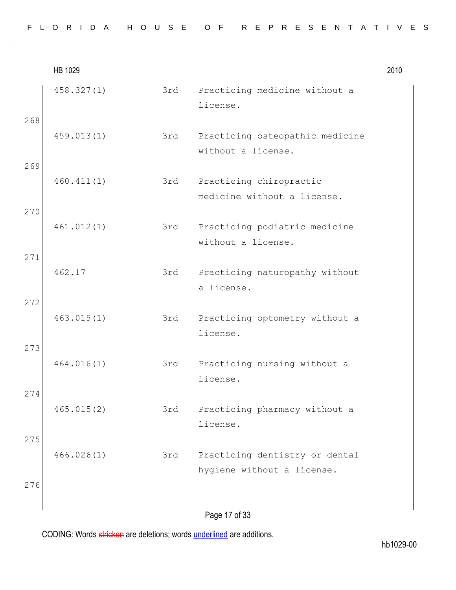|     | HB 1029    |     |                                                              | 2010 |
|-----|------------|-----|--------------------------------------------------------------|------|
|     | 458.327(1) | 3rd | Practicing medicine without a<br>license.                    |      |
| 268 | 459.013(1) | 3rd | Practicing osteopathic medicine<br>without a license.        |      |
| 269 | 460.411(1) | 3rd | Practicing chiropractic<br>medicine without a license.       |      |
| 270 | 461.012(1) | 3rd | Practicing podiatric medicine<br>without a license.          |      |
| 271 | 462.17     | 3rd | Practicing naturopathy without<br>a license.                 |      |
| 272 | 463.015(1) | 3rd | Practicing optometry without a<br>license.                   |      |
| 273 | 464.016(1) | 3rd | Practicing nursing without a<br>license.                     |      |
| 274 | 465.015(2) | 3rd | Practicing pharmacy without a<br>license.                    |      |
| 275 | 466.026(1) | 3rd | Practicing dentistry or dental<br>hygiene without a license. |      |
| 276 |            |     |                                                              |      |
|     |            |     | Page 17 of 33                                                |      |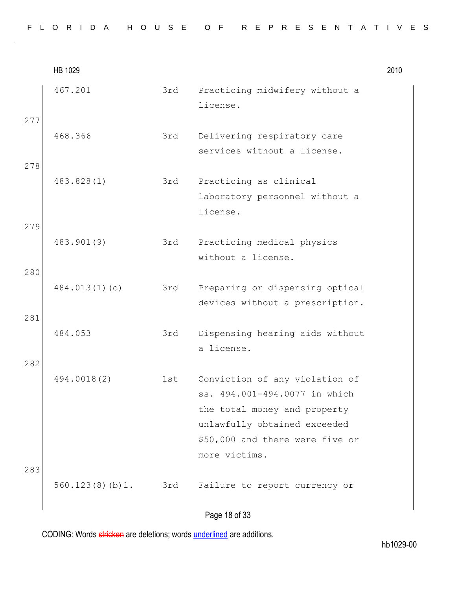|            | HB 1029            |     |                                                                                                                                                                                     | 2010 |
|------------|--------------------|-----|-------------------------------------------------------------------------------------------------------------------------------------------------------------------------------------|------|
| 277        | 467.201            | 3rd | Practicing midwifery without a<br>license.                                                                                                                                          |      |
|            | 468.366            | 3rd | Delivering respiratory care<br>services without a license.                                                                                                                          |      |
| 278        | 483.828(1)         | 3rd | Practicing as clinical<br>laboratory personnel without a<br>license.                                                                                                                |      |
| 279        | 483.901(9)         | 3rd | Practicing medical physics<br>without a license.                                                                                                                                    |      |
| 280<br>281 | 484.013(1)(c)      | 3rd | Preparing or dispensing optical<br>devices without a prescription.                                                                                                                  |      |
|            | 484.053            | 3rd | Dispensing hearing aids without<br>a license.                                                                                                                                       |      |
| 282<br>283 | 494.0018(2)        | 1st | Conviction of any violation of<br>ss. 494.001-494.0077 in which<br>the total money and property<br>unlawfully obtained exceeded<br>\$50,000 and there were five or<br>more victims. |      |
|            | $560.123(8)(b)1$ . | 3rd | Failure to report currency or                                                                                                                                                       |      |
|            |                    |     |                                                                                                                                                                                     |      |

# Page 18 of 33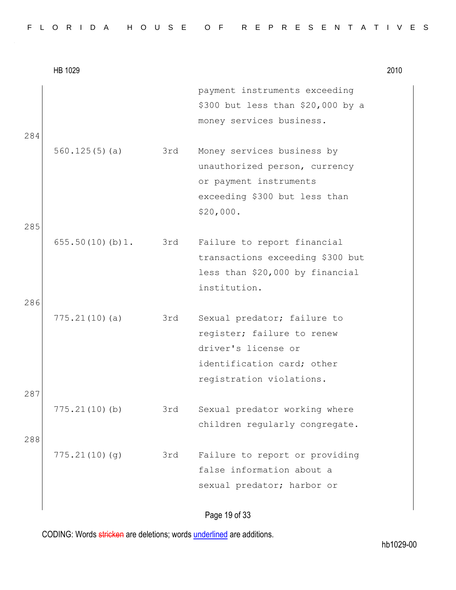|     | HB 1029             |     |                                                                                                                                            | 2010 |
|-----|---------------------|-----|--------------------------------------------------------------------------------------------------------------------------------------------|------|
| 284 |                     |     | payment instruments exceeding<br>\$300 but less than \$20,000 by a<br>money services business.                                             |      |
|     | 560.125(5)(a)       | 3rd | Money services business by<br>unauthorized person, currency<br>or payment instruments<br>exceeding \$300 but less than<br>\$20,000.        |      |
| 285 |                     |     |                                                                                                                                            |      |
|     | 655.50(10)(b)1. 3rd |     | Failure to report financial<br>transactions exceeding \$300 but<br>less than \$20,000 by financial<br>institution.                         |      |
| 286 |                     |     |                                                                                                                                            |      |
|     | 775.21(10)(a)       | 3rd | Sexual predator; failure to<br>register; failure to renew<br>driver's license or<br>identification card; other<br>registration violations. |      |
| 287 |                     |     |                                                                                                                                            |      |
| 288 | 775.21(10)(b)       | 3rd | Sexual predator working where<br>children regularly congregate.                                                                            |      |
|     | 775.21(10)(g)       | 3rd | Failure to report or providing<br>false information about a<br>sexual predator; harbor or                                                  |      |

Page 19 of 33

CODING: Words stricken are deletions; words underlined are additions.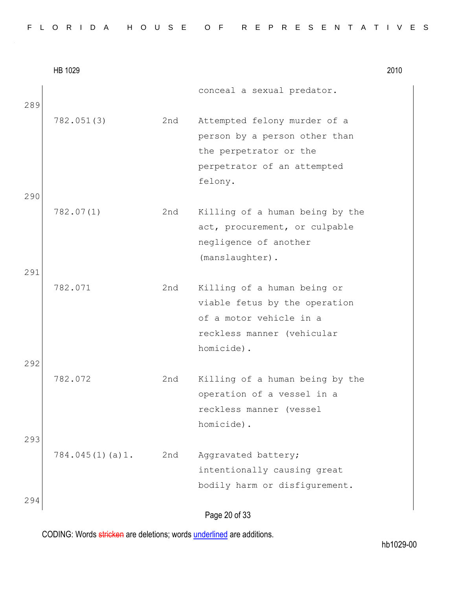|  |  |  | FLORIDA HOUSE OF REPRESENTATIVES |  |  |  |  |  |  |  |  |  |  |  |  |
|--|--|--|----------------------------------|--|--|--|--|--|--|--|--|--|--|--|--|
|  |  |  |                                  |  |  |  |  |  |  |  |  |  |  |  |  |

|     | HB 1029         |     |                                                                  | 2010 |
|-----|-----------------|-----|------------------------------------------------------------------|------|
|     |                 |     | conceal a sexual predator.                                       |      |
| 289 | 782.051(3)      | 2nd | Attempted felony murder of a                                     |      |
|     |                 |     | person by a person other than<br>the perpetrator or the          |      |
|     |                 |     | perpetrator of an attempted                                      |      |
|     |                 |     | felony.                                                          |      |
| 290 |                 |     |                                                                  |      |
|     | 782.07(1)       | 2nd | Killing of a human being by the<br>act, procurement, or culpable |      |
|     |                 |     | negligence of another                                            |      |
|     |                 |     | (manslaughter).                                                  |      |
| 291 |                 |     |                                                                  |      |
|     | 782.071         | 2nd | Killing of a human being or                                      |      |
|     |                 |     | viable fetus by the operation                                    |      |
|     |                 |     | of a motor vehicle in a                                          |      |
|     |                 |     | reckless manner (vehicular                                       |      |
|     |                 |     | homicide).                                                       |      |
| 292 |                 |     |                                                                  |      |
|     | 782.072         | 2nd | Killing of a human being by the                                  |      |
|     |                 |     | operation of a vessel in a                                       |      |
|     |                 |     | reckless manner (vessel                                          |      |
| 293 |                 |     | homicide).                                                       |      |
|     | 784.045(1)(a)1. | 2nd | Aggravated battery;                                              |      |
|     |                 |     | intentionally causing great                                      |      |
|     |                 |     | bodily harm or disfigurement.                                    |      |
| 294 |                 |     |                                                                  |      |
|     |                 |     | Page 20 of 33                                                    |      |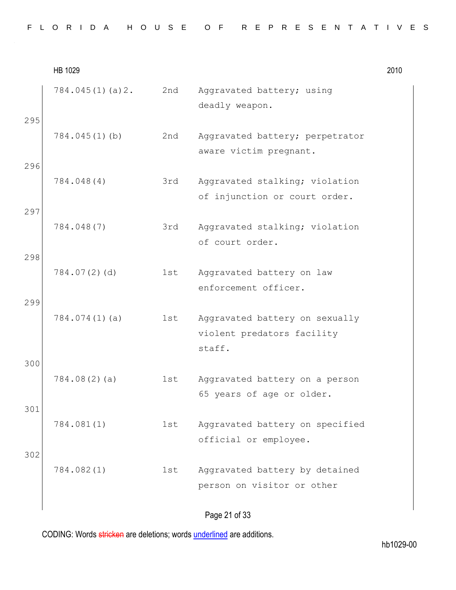|     | HB 1029         |     |                                                                        | 2010 |
|-----|-----------------|-----|------------------------------------------------------------------------|------|
|     | 784.045(1)(a)2. | 2nd | Aggravated battery; using<br>deadly weapon.                            |      |
| 295 | 784.045(1)(b)   | 2nd | Aggravated battery; perpetrator<br>aware victim pregnant.              |      |
| 296 | 784.048(4)      | 3rd | Aggravated stalking; violation<br>of injunction or court order.        |      |
| 297 | 784.048(7)      | 3rd | Aggravated stalking; violation<br>of court order.                      |      |
| 298 | 784.07(2)(d)    | 1st | Aggravated battery on law<br>enforcement officer.                      |      |
| 299 | 784.074(1)(a)   | 1st | Aggravated battery on sexually<br>violent predators facility<br>staff. |      |
| 300 | 784.08(2)(a)    | 1st | Aggravated battery on a person<br>65 years of age or older.            |      |
| 301 | 784.081(1)      | 1st | Aggravated battery on specified<br>official or employee.               |      |
| 302 | 784.082(1)      | 1st | Aggravated battery by detained<br>person on visitor or other           |      |
|     |                 |     |                                                                        |      |

Page 21 of 33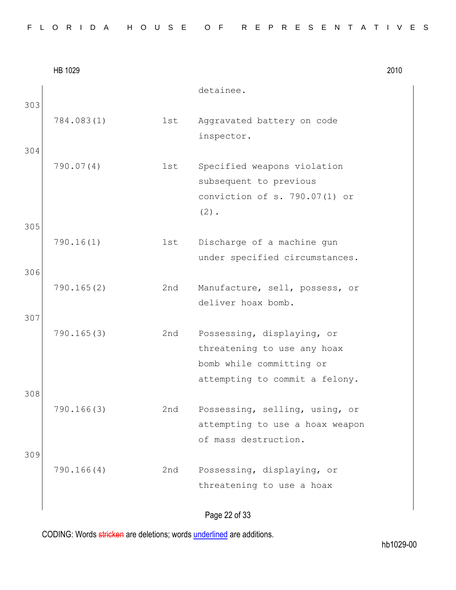|  |  |  |  |  |  | FLORIDA HOUSE OF REPRESENTATIVES |  |  |  |  |  |  |  |  |
|--|--|--|--|--|--|----------------------------------|--|--|--|--|--|--|--|--|
|  |  |  |  |  |  |                                  |  |  |  |  |  |  |  |  |

|     | HB 1029    |     |                                 | 2010 |
|-----|------------|-----|---------------------------------|------|
|     |            |     | detainee.                       |      |
| 303 |            |     |                                 |      |
|     | 784.083(1) | 1st | Aggravated battery on code      |      |
|     |            |     | inspector.                      |      |
| 304 |            |     |                                 |      |
|     | 790.07(4)  | 1st | Specified weapons violation     |      |
|     |            |     | subsequent to previous          |      |
|     |            |     | conviction of s. 790.07(1) or   |      |
|     |            |     | $(2)$ .                         |      |
| 305 |            |     |                                 |      |
|     | 790.16(1)  | 1st | Discharge of a machine gun      |      |
|     |            |     | under specified circumstances.  |      |
| 306 |            |     |                                 |      |
|     | 790.165(2) | 2nd | Manufacture, sell, possess, or  |      |
|     |            |     | deliver hoax bomb.              |      |
| 307 |            |     |                                 |      |
|     | 790.165(3) | 2nd | Possessing, displaying, or      |      |
|     |            |     | threatening to use any hoax     |      |
|     |            |     | bomb while committing or        |      |
| 308 |            |     | attempting to commit a felony.  |      |
|     | 790.166(3) | 2nd | Possessing, selling, using, or  |      |
|     |            |     | attempting to use a hoax weapon |      |
|     |            |     | of mass destruction.            |      |
| 309 |            |     |                                 |      |
|     | 790.166(4) | 2nd | Possessing, displaying, or      |      |
|     |            |     | threatening to use a hoax       |      |
|     |            |     |                                 |      |
|     |            |     | Page 22 of 33                   |      |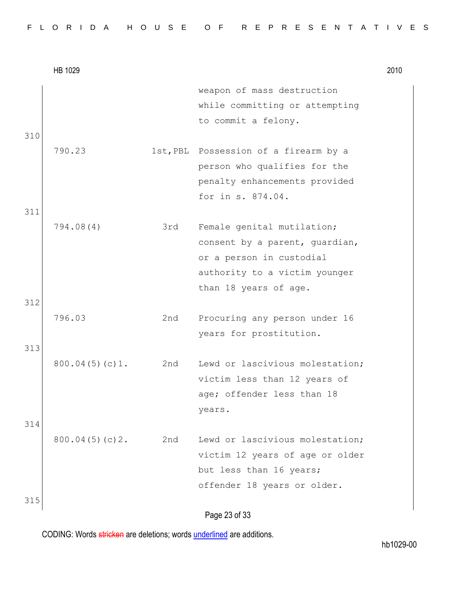|            | HB 1029        |     |                                                                                                                                                    | 2010 |
|------------|----------------|-----|----------------------------------------------------------------------------------------------------------------------------------------------------|------|
|            |                |     | weapon of mass destruction<br>while committing or attempting<br>to commit a felony.                                                                |      |
| 310<br>311 | 790.23         |     | 1st, PBL Possession of a firearm by a<br>person who qualifies for the<br>penalty enhancements provided<br>for in s. 874.04.                        |      |
| 312        | 794.08(4)      | 3rd | Female genital mutilation;<br>consent by a parent, quardian,<br>or a person in custodial<br>authority to a victim younger<br>than 18 years of age. |      |
| 313        | 796.03         | 2nd | Procuring any person under 16<br>years for prostitution.                                                                                           |      |
| 314        | 800.04(5)(c)1. | 2nd | Lewd or lascivious molestation;<br>victim less than 12 years of<br>age; offender less than 18<br>years.                                            |      |
|            | 800.04(5)(c)2. | 2nd | Lewd or lascivious molestation;<br>victim 12 years of age or older<br>but less than 16 years;<br>offender 18 years or older.                       |      |
| 315        |                |     | റാ ചാര                                                                                                                                             |      |

## Page 23 of 33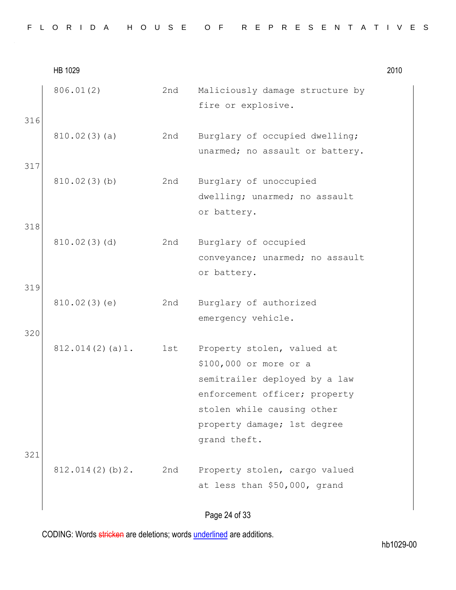|     | HB 1029         |     |                                                                                                                                                                                                     | 2010 |
|-----|-----------------|-----|-----------------------------------------------------------------------------------------------------------------------------------------------------------------------------------------------------|------|
| 316 | 806.01(2)       | 2nd | Maliciously damage structure by<br>fire or explosive.                                                                                                                                               |      |
|     | 810.02(3)(a)    | 2nd | Burglary of occupied dwelling;<br>unarmed; no assault or battery.                                                                                                                                   |      |
| 317 | 810.02(3)(b)    | 2nd | Burglary of unoccupied<br>dwelling; unarmed; no assault<br>or battery.                                                                                                                              |      |
| 318 | 810.02(3)(d)    | 2nd | Burglary of occupied                                                                                                                                                                                |      |
| 319 |                 |     | conveyance; unarmed; no assault<br>or battery.                                                                                                                                                      |      |
|     | 810.02(3)(e)    | 2nd | Burglary of authorized<br>emergency vehicle.                                                                                                                                                        |      |
| 320 | 812.014(2)(a)1. | 1st | Property stolen, valued at<br>\$100,000 or more or a<br>semitrailer deployed by a law<br>enforcement officer; property<br>stolen while causing other<br>property damage; 1st degree<br>grand theft. |      |
| 321 | 812.014(2)(b)2. | 2nd | Property stolen, cargo valued                                                                                                                                                                       |      |
|     |                 |     | at less than \$50,000, grand                                                                                                                                                                        |      |
|     |                 |     |                                                                                                                                                                                                     |      |

Page 24 of 33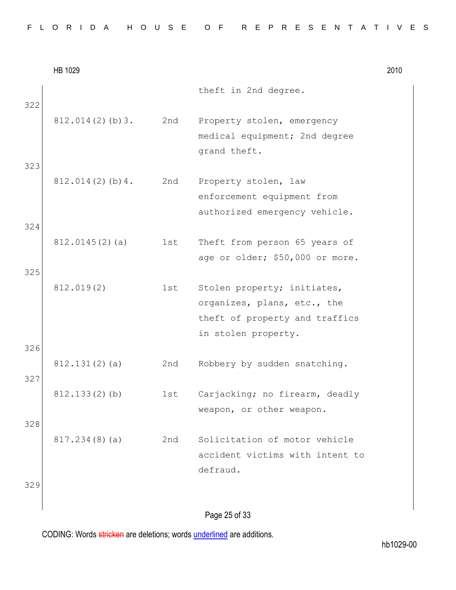|  |  |  |  |  |  | FLORIDA HOUSE OF REPRESENTATIVES |  |  |  |  |  |  |  |  |
|--|--|--|--|--|--|----------------------------------|--|--|--|--|--|--|--|--|
|  |  |  |  |  |  |                                  |  |  |  |  |  |  |  |  |

|     | HB 1029             |     |                                                                                              | 2010 |
|-----|---------------------|-----|----------------------------------------------------------------------------------------------|------|
| 322 |                     |     | theft in 2nd degree.                                                                         |      |
|     | $812.014(2)$ (b) 3. | 2nd | Property stolen, emergency<br>medical equipment; 2nd degree                                  |      |
| 323 |                     |     | grand theft.                                                                                 |      |
|     | 812.014(2)(b)4.     | 2nd | Property stolen, law<br>enforcement equipment from                                           |      |
| 324 |                     |     | authorized emergency vehicle.                                                                |      |
|     | 812.0145(2)(a)      | 1st | Theft from person 65 years of<br>age or older; \$50,000 or more.                             |      |
| 325 |                     |     |                                                                                              |      |
|     | 812.019(2)          | 1st | Stolen property; initiates,<br>organizes, plans, etc., the<br>theft of property and traffics |      |
| 326 |                     |     | in stolen property.                                                                          |      |
| 327 | 812.131(2)(a)       | 2nd | Robbery by sudden snatching.                                                                 |      |
|     | 812.133(2)(b)       | 1st | Carjacking; no firearm, deadly<br>weapon, or other weapon.                                   |      |
| 328 |                     |     |                                                                                              |      |
|     | 817.234(8)(a)       | 2nd | Solicitation of motor vehicle<br>accident victims with intent to<br>defraud.                 |      |
| 329 |                     |     | Page 25 of 33                                                                                |      |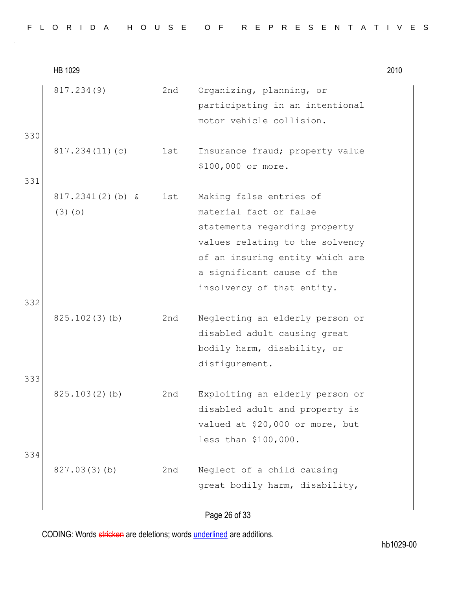|  |  |  |  |  | FLORIDA HOUSE OF REPRESENTATIVES |  |  |  |  |  |  |  |  |
|--|--|--|--|--|----------------------------------|--|--|--|--|--|--|--|--|
|  |  |  |  |  |                                  |  |  |  |  |  |  |  |  |

HB 1029 2010 817.234(9) 2nd Organizing, planning, or participating in an intentional motor vehicle collision. 330 817.234(11)(c) 1st Insurance fraud; property value \$100,000 or more. 331 817.2341(2)(b) & (3)(b) 1st Making false entries of material fact or false statements regarding property values relating to the solvency of an insuring entity which are a significant cause of the insolvency of that entity. 332 825.102(3)(b) 2nd Neglecting an elderly person or disabled adult causing great bodily harm, disability, or disfigurement. 333 825.103(2)(b) 2nd Exploiting an elderly person or disabled adult and property is valued at \$20,000 or more, but less than \$100,000. 334 827.03(3)(b) 2nd Neglect of a child causing great bodily harm, disability,

## Page 26 of 33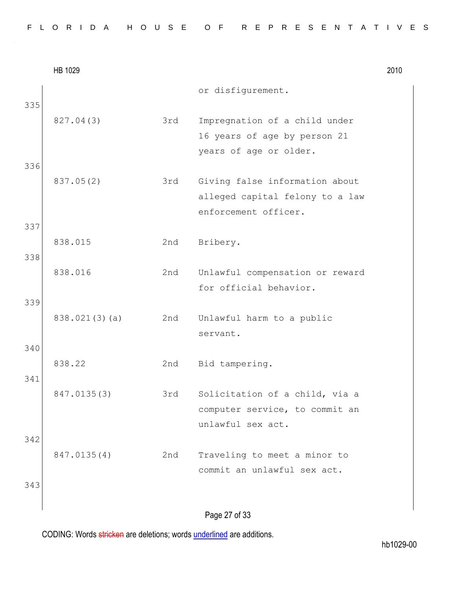|  |  |  | FLORIDA HOUSE OF REPRESENTATIVES |  |  |  |  |  |  |  |  |  |  |  |  |
|--|--|--|----------------------------------|--|--|--|--|--|--|--|--|--|--|--|--|
|  |  |  |                                  |  |  |  |  |  |  |  |  |  |  |  |  |

|     | HB 1029       |     |                                                                                           | 2010 |
|-----|---------------|-----|-------------------------------------------------------------------------------------------|------|
| 335 |               |     | or disfigurement.                                                                         |      |
|     | 827.04(3)     | 3rd | Impregnation of a child under<br>16 years of age by person 21                             |      |
| 336 |               |     | years of age or older.                                                                    |      |
|     | 837.05(2)     | 3rd | Giving false information about<br>alleged capital felony to a law<br>enforcement officer. |      |
| 337 |               |     |                                                                                           |      |
| 338 | 838.015       | 2nd | Bribery.                                                                                  |      |
|     | 838.016       | 2nd | Unlawful compensation or reward<br>for official behavior.                                 |      |
| 339 |               |     |                                                                                           |      |
|     | 838.021(3)(a) | 2nd | Unlawful harm to a public<br>servant.                                                     |      |
| 340 |               |     |                                                                                           |      |
| 341 | 838.22        | 2nd | Bid tampering.                                                                            |      |
|     | 847.0135(3)   | 3rd | Solicitation of a child, via a<br>computer service, to commit an<br>unlawful sex act.     |      |
| 342 |               |     |                                                                                           |      |
|     | 847.0135(4)   | 2nd | Traveling to meet a minor to<br>commit an unlawful sex act.                               |      |
| 343 |               |     |                                                                                           |      |
|     |               |     | Page 27 of 33                                                                             |      |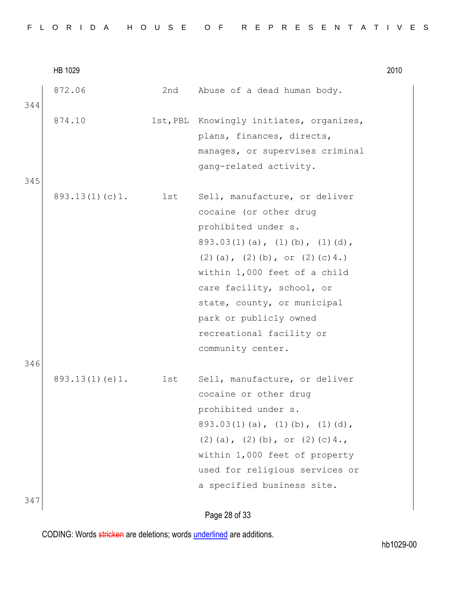|  |  |  |  |  |  | FLORIDA HOUSE OF REPRESENTATIVES |  |  |  |  |  |  |  |  |
|--|--|--|--|--|--|----------------------------------|--|--|--|--|--|--|--|--|
|  |  |  |  |  |  |                                  |  |  |  |  |  |  |  |  |

|            | HB 1029            |     |                                                                                                                                                                                                                                                                                                                                           | 2010 |
|------------|--------------------|-----|-------------------------------------------------------------------------------------------------------------------------------------------------------------------------------------------------------------------------------------------------------------------------------------------------------------------------------------------|------|
| 344        | 872.06             | 2nd | Abuse of a dead human body.                                                                                                                                                                                                                                                                                                               |      |
|            | 874.10             |     | 1st, PBL Knowingly initiates, organizes,<br>plans, finances, directs,                                                                                                                                                                                                                                                                     |      |
| 345        |                    |     | manages, or supervises criminal<br>gang-related activity.                                                                                                                                                                                                                                                                                 |      |
|            | 893.13(1)(c)1.     | 1st | Sell, manufacture, or deliver<br>cocaine (or other drug<br>prohibited under s.<br>$893.03(1)(a)$ , $(1)(b)$ , $(1)(d)$ ,<br>$(2)$ (a), $(2)$ (b), or $(2)$ (c) 4.)<br>within 1,000 feet of a child<br>care facility, school, or<br>state, county, or municipal<br>park or publicly owned<br>recreational facility or<br>community center. |      |
| 346<br>347 | 893.13(1)(e)1. 1st |     | Sell, manufacture, or deliver<br>cocaine or other drug<br>prohibited under s.<br>$893.03(1)(a)$ , $(1)(b)$ , $(1)(d)$ ,<br>$(2)$ (a), $(2)$ (b), or $(2)$ (c) 4.,<br>within 1,000 feet of property<br>used for religious services or<br>a specified business site.                                                                        |      |
|            |                    |     |                                                                                                                                                                                                                                                                                                                                           |      |

Page 28 of 33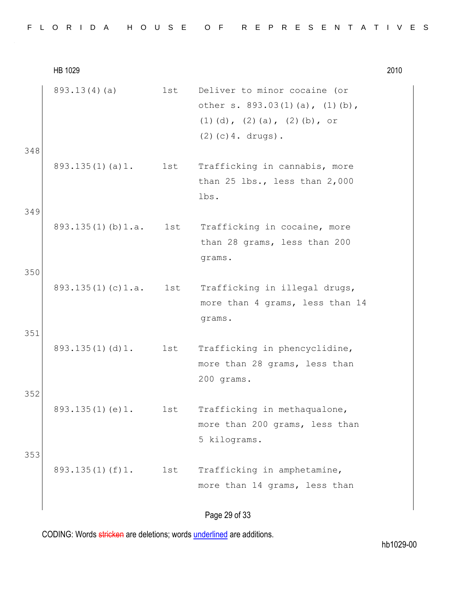| FLORIDA HOUSE OF REPRESENTATIVES |  |
|----------------------------------|--|
|----------------------------------|--|

HB 1029 2010 893.13(4)(a) 1st Deliver to minor cocaine (or other s. 893.03(1)(a), (1)(b), (1)(d), (2)(a), (2)(b), or (2)(c)4. drugs). 348 893.135(1)(a)1. 1st Trafficking in cannabis, more than 25 lbs., less than 2,000 lbs. 349 893.135(1)(b)1.a. 1st Trafficking in cocaine, more than 28 grams, less than 200 grams. 350 893.135(1)(c)1.a. 1st Trafficking in illegal drugs, more than 4 grams, less than 14 grams. 351 893.135(1)(d)1. 1st Trafficking in phencyclidine, more than 28 grams, less than 200 grams. 352 893.135(1)(e)1. 1st Trafficking in methaqualone, more than 200 grams, less than 5 kilograms. 353 893.135(1)(f)1. 1st Trafficking in amphetamine, more than 14 grams, less than

## Page 29 of 33

CODING: Words stricken are deletions; words underlined are additions.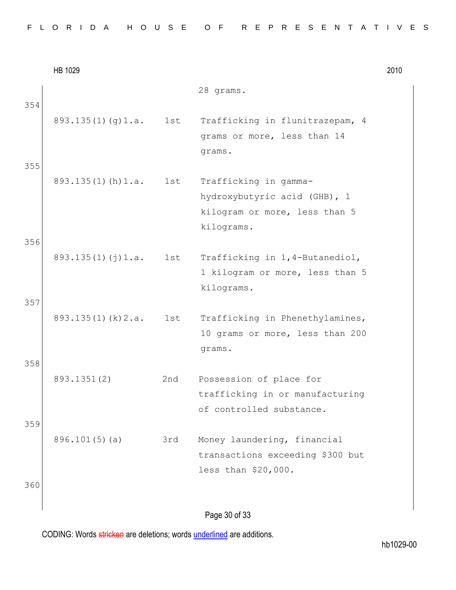|  |  |  |  |  |  |  |  |  |  |  |  |  | FLORIDA HOUSE OF REPRESENTATIVES |  |  |  |  |  |  |  |  |  |  |  |  |  |  |  |  |
|--|--|--|--|--|--|--|--|--|--|--|--|--|----------------------------------|--|--|--|--|--|--|--|--|--|--|--|--|--|--|--|--|
|--|--|--|--|--|--|--|--|--|--|--|--|--|----------------------------------|--|--|--|--|--|--|--|--|--|--|--|--|--|--|--|--|

|     | HB 1029                 |     |                                                                                                      | 2010 |
|-----|-------------------------|-----|------------------------------------------------------------------------------------------------------|------|
| 354 |                         |     | 28 grams.                                                                                            |      |
|     | 893.135(1)(g)1.a.       | 1st | Trafficking in flunitrazepam, 4<br>grams or more, less than 14<br>grams.                             |      |
| 355 | $893.135(1)$ (h) $1.a.$ | 1st | Trafficking in gamma-<br>hydroxybutyric acid (GHB), 1<br>kilogram or more, less than 5<br>kilograms. |      |
| 356 | 893.135(1)(j)1.a.       | 1st | Trafficking in 1,4-Butanediol,<br>1 kilogram or more, less than 5<br>kilograms.                      |      |
| 357 | 893.135(1)(k)2.a.       | 1st | Trafficking in Phenethylamines,<br>10 grams or more, less than 200<br>grams.                         |      |
| 358 | 893.1351(2)             | 2nd | Possession of place for<br>trafficking in or manufacturing<br>of controlled substance.               |      |
| 359 | 896.101(5)(a)           | 3rd | Money laundering, financial<br>transactions exceeding \$300 but<br>less than \$20,000.               |      |
| 360 |                         |     | Page 30 of 33                                                                                        |      |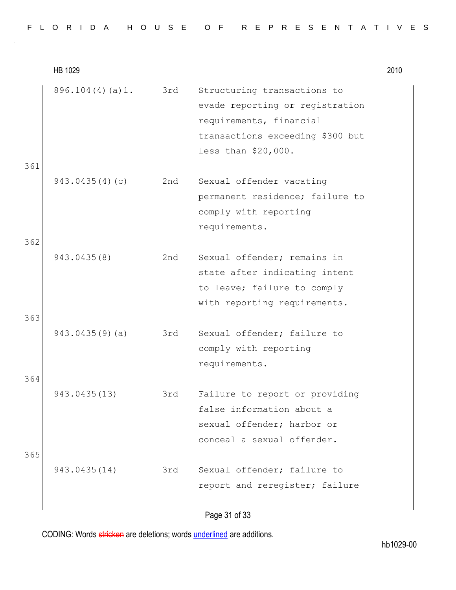|  |  |  |  |  |  | FLORIDA HOUSE OF REPRESENTATIVES |  |  |  |  |  |  |  |  |
|--|--|--|--|--|--|----------------------------------|--|--|--|--|--|--|--|--|
|  |  |  |  |  |  |                                  |  |  |  |  |  |  |  |  |

HB 1029 2010 896.104(4)(a)1. 3rd Structuring transactions to evade reporting or registration requirements, financial transactions exceeding \$300 but less than \$20,000. 361 943.0435(4)(c) 2nd Sexual offender vacating permanent residence; failure to comply with reporting requirements. 362 943.0435(8) 2nd Sexual offender; remains in state after indicating intent to leave; failure to comply with reporting requirements. 363 943.0435(9)(a) 3rd Sexual offender; failure to comply with reporting requirements. 364 943.0435(13) 3rd Failure to report or providing false information about a sexual offender; harbor or conceal a sexual offender. 365 943.0435(14) 3rd Sexual offender; failure to report and reregister; failure

Page 31 of 33

CODING: Words stricken are deletions; words underlined are additions.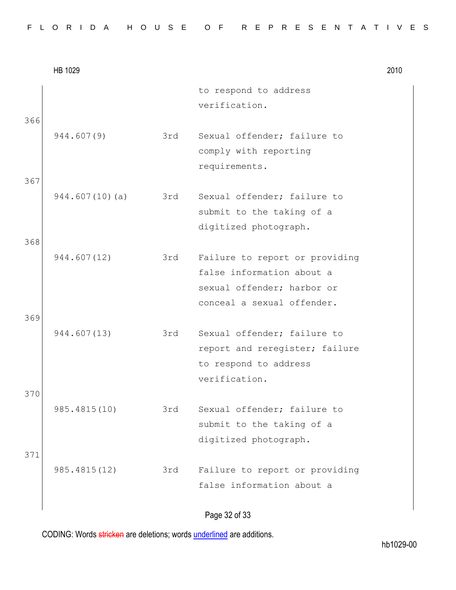|            | HB 1029        |     |                                                                                                                         | 2010 |
|------------|----------------|-----|-------------------------------------------------------------------------------------------------------------------------|------|
| 366        |                |     | to respond to address<br>verification.                                                                                  |      |
|            | 944.607(9)     | 3rd | Sexual offender; failure to<br>comply with reporting<br>requirements.                                                   |      |
| 367<br>368 | 944.607(10)(a) | 3rd | Sexual offender; failure to<br>submit to the taking of a<br>digitized photograph.                                       |      |
|            | 944.607(12)    | 3rd | Failure to report or providing<br>false information about a<br>sexual offender; harbor or<br>conceal a sexual offender. |      |
| 369        | 944.607(13)    | 3rd | Sexual offender; failure to<br>report and reregister; failure<br>to respond to address<br>verification.                 |      |
| 370        | 985.4815(10)   | 3rd | Sexual offender; failure to<br>submit to the taking of a<br>digitized photograph.                                       |      |
| 371        | 985.4815(12)   | 3rd | Failure to report or providing<br>false information about a                                                             |      |

Page 32 of 33

CODING: Words stricken are deletions; words underlined are additions.